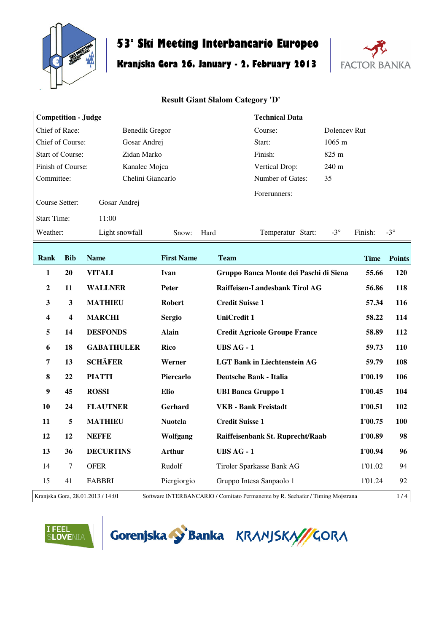

## **53° Ski Meeting Interbancario Europeo**

# **Kranjska Gora 26. January - 2. February 2013**



| <b>Competition - Judge</b> |                                                                                                                            |                       |                   |                               | <b>Technical Data</b>                  |  |              |             |               |
|----------------------------|----------------------------------------------------------------------------------------------------------------------------|-----------------------|-------------------|-------------------------------|----------------------------------------|--|--------------|-------------|---------------|
| Chief of Race:             |                                                                                                                            | <b>Benedik Gregor</b> |                   |                               | Course:                                |  | Dolencev Rut |             |               |
| Chief of Course:           |                                                                                                                            | Gosar Andrej          |                   |                               | Start:                                 |  | 1065 m       |             |               |
| <b>Start of Course:</b>    |                                                                                                                            | Zidan Marko           |                   |                               | Finish:                                |  | 825 m        |             |               |
| Finish of Course:          |                                                                                                                            | Kanalec Mojca         |                   |                               | Vertical Drop:                         |  | 240 m        |             |               |
| Committee:                 |                                                                                                                            | Chelini Giancarlo     |                   |                               | Number of Gates:                       |  | 35           |             |               |
| Course Setter:             |                                                                                                                            | Gosar Andrej          |                   |                               | Forerunners:                           |  |              |             |               |
| <b>Start Time:</b>         |                                                                                                                            | 11:00                 |                   |                               |                                        |  |              |             |               |
| Weather:                   |                                                                                                                            | Light snowfall        | Snow:             | Hard                          | Temperatur Start:                      |  | $-3^{\circ}$ | Finish:     | $-3^\circ$    |
| Rank                       | <b>Bib</b>                                                                                                                 | <b>Name</b>           | <b>First Name</b> | <b>Team</b>                   |                                        |  |              | <b>Time</b> | <b>Points</b> |
| 1                          | 20                                                                                                                         | <b>VITALI</b>         | Ivan              |                               | Gruppo Banca Monte dei Paschi di Siena |  |              | 55.66       | 120           |
| $\boldsymbol{2}$           | 11                                                                                                                         | <b>WALLNER</b>        | <b>Peter</b>      |                               | Raiffeisen-Landesbank Tirol AG         |  |              | 56.86       | 118           |
| $\mathbf{3}$               | 3                                                                                                                          | <b>MATHIEU</b>        | <b>Robert</b>     | <b>Credit Suisse 1</b>        |                                        |  |              | 57.34       | 116           |
| $\overline{\mathbf{4}}$    | 4                                                                                                                          | <b>MARCHI</b>         | <b>Sergio</b>     | <b>UniCredit 1</b>            |                                        |  |              | 58.22       | 114           |
|                            | 14                                                                                                                         | <b>DESFONDS</b>       |                   |                               |                                        |  |              |             |               |
| 5                          |                                                                                                                            |                       | <b>Alain</b>      |                               | <b>Credit Agricole Groupe France</b>   |  |              | 58.89       | 112           |
| 6                          | 18                                                                                                                         | <b>GABATHULER</b>     | Rico              | <b>UBS AG - 1</b>             |                                        |  |              | 59.73       | <b>110</b>    |
| $\overline{7}$             | 13                                                                                                                         | <b>SCHÄFER</b>        | Werner            |                               | <b>LGT Bank in Liechtenstein AG</b>    |  |              | 59.79       | 108           |
| 8                          | 22                                                                                                                         | <b>PIATTI</b>         | Piercarlo         | <b>Deutsche Bank - Italia</b> |                                        |  |              | 1'00.19     | 106           |
| $\boldsymbol{9}$           | 45                                                                                                                         | <b>ROSSI</b>          | <b>Elio</b>       | <b>UBI Banca Gruppo 1</b>     |                                        |  |              | 1'00.45     | 104           |
| 10                         | 24                                                                                                                         | <b>FLAUTNER</b>       | Gerhard           | <b>VKB</b> - Bank Freistadt   |                                        |  |              | 1'00.51     | 102           |
| 11                         | 5                                                                                                                          | <b>MATHIEU</b>        | <b>Nuotcla</b>    | <b>Credit Suisse 1</b>        |                                        |  |              | 1'00.75     | <b>100</b>    |
| 12                         | 12                                                                                                                         | <b>NEFFE</b>          | Wolfgang          |                               | Raiffeisenbank St. Ruprecht/Raab       |  |              | 1'00.89     | 98            |
| 13                         | 36                                                                                                                         | <b>DECURTINS</b>      | Arthur            | <b>UBS AG - 1</b>             |                                        |  |              | 1'00.94     | 96            |
| 14                         | $\tau$                                                                                                                     | <b>OFER</b>           | Rudolf            |                               | Tiroler Sparkasse Bank AG              |  |              | 1'01.02     | 94            |
| 15                         | 41                                                                                                                         | <b>FABBRI</b>         | Piergiorgio       |                               | Gruppo Intesa Sanpaolo 1               |  |              | 1'01.24     | 92            |
|                            | 1/4<br>Kranjska Gora, 28.01.2013 / 14:01<br>Software INTERBANCARIO / Comitato Permanente by R. Seehafer / Timing Mojstrana |                       |                   |                               |                                        |  |              |             |               |





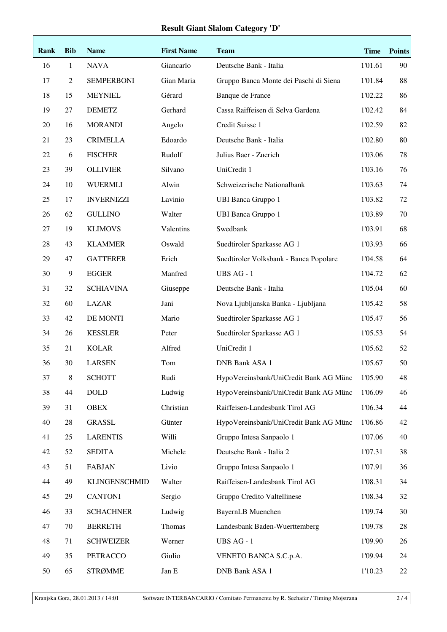| Rank | <b>Bib</b>     | <b>Name</b>          | <b>First Name</b> | <b>Team</b>                            | <b>Time</b> | <b>Points</b> |
|------|----------------|----------------------|-------------------|----------------------------------------|-------------|---------------|
| 16   | $\mathbf{1}$   | <b>NAVA</b>          | Giancarlo         | Deutsche Bank - Italia                 | 1'01.61     | 90            |
| 17   | $\mathfrak{2}$ | <b>SEMPERBONI</b>    | Gian Maria        | Gruppo Banca Monte dei Paschi di Siena | 1'01.84     | 88            |
| 18   | 15             | <b>MEYNIEL</b>       | Gérard            | Banque de France                       | 1'02.22     | 86            |
| 19   | 27             | <b>DEMETZ</b>        | Gerhard           | Cassa Raiffeisen di Selva Gardena      | 1'02.42     | 84            |
| 20   | 16             | <b>MORANDI</b>       | Angelo            | Credit Suisse 1                        | 1'02.59     | 82            |
| 21   | 23             | <b>CRIMELLA</b>      | Edoardo           | Deutsche Bank - Italia                 | 1'02.80     | 80            |
| 22   | 6              | <b>FISCHER</b>       | Rudolf            | Julius Baer - Zuerich                  | 1'03.06     | 78            |
| 23   | 39             | <b>OLLIVIER</b>      | Silvano           | UniCredit 1                            | 1'03.16     | 76            |
| 24   | 10             | <b>WUERMLI</b>       | Alwin             | Schweizerische Nationalbank            | 1'03.63     | 74            |
| 25   | 17             | <b>INVERNIZZI</b>    | Lavinio           | <b>UBI Banca Gruppo 1</b>              | 1'03.82     | 72            |
| 26   | 62             | <b>GULLINO</b>       | Walter            | <b>UBI Banca Gruppo 1</b>              | 1'03.89     | 70            |
| 27   | 19             | <b>KLIMOVS</b>       | Valentins         | Swedbank                               | 1'03.91     | 68            |
| 28   | 43             | <b>KLAMMER</b>       | Oswald            | Suedtiroler Sparkasse AG 1             | 1'03.93     | 66            |
| 29   | 47             | <b>GATTERER</b>      | Erich             | Suedtiroler Volksbank - Banca Popolare | 1'04.58     | 64            |
| 30   | 9              | <b>EGGER</b>         | Manfred           | UBS AG - 1                             | 1'04.72     | 62            |
| 31   | 32             | <b>SCHIAVINA</b>     | Giuseppe          | Deutsche Bank - Italia                 | 1'05.04     | 60            |
| 32   | 60             | <b>LAZAR</b>         | Jani              | Nova Ljubljanska Banka - Ljubljana     | 1'05.42     | 58            |
| 33   | 42             | DE MONTI             | Mario             | Suedtiroler Sparkasse AG 1             | 1'05.47     | 56            |
| 34   | 26             | <b>KESSLER</b>       | Peter             | Suedtiroler Sparkasse AG 1             | 1'05.53     | 54            |
| 35   | 21             | <b>KOLAR</b>         | Alfred            | UniCredit 1                            | 1'05.62     | 52            |
| 36   | 30             | <b>LARSEN</b>        | Tom               | <b>DNB Bank ASA 1</b>                  | 1'05.67     | 50            |
| 37   | 8              | <b>SCHOTT</b>        | Rudi              | HypoVereinsbank/UniCredit Bank AG Münc | 1'05.90     | 48            |
| 38   | 44             | <b>DOLD</b>          | Ludwig            | HypoVereinsbank/UniCredit Bank AG Münc | 1'06.09     | 46            |
| 39   | 31             | <b>OBEX</b>          | Christian         | Raiffeisen-Landesbank Tirol AG         | 1'06.34     | 44            |
| 40   | $28\,$         | <b>GRASSL</b>        | Günter            | HypoVereinsbank/UniCredit Bank AG Münc | 1'06.86     | 42            |
| 41   | 25             | <b>LARENTIS</b>      | Willi             | Gruppo Intesa Sanpaolo 1               | 1'07.06     | 40            |
| 42   | 52             | <b>SEDITA</b>        | Michele           | Deutsche Bank - Italia 2               | 1'07.31     | 38            |
| 43   | 51             | <b>FABJAN</b>        | Livio             | Gruppo Intesa Sanpaolo 1               | 1'07.91     | 36            |
| 44   | 49             | <b>KLINGENSCHMID</b> | Walter            | Raiffeisen-Landesbank Tirol AG         | 1'08.31     | 34            |
| 45   | 29             | <b>CANTONI</b>       | Sergio            | Gruppo Credito Valtellinese            | 1'08.34     | 32            |
| 46   | 33             | <b>SCHACHNER</b>     | Ludwig            | <b>BayernLB</b> Muenchen               | 1'09.74     | 30            |
| 47   | 70             | <b>BERRETH</b>       | Thomas            | Landesbank Baden-Wuerttemberg          | 1'09.78     | 28            |
| 48   | 71             | <b>SCHWEIZER</b>     | Werner            | UBS AG - 1                             | 1'09.90     | 26            |
| 49   | 35             | PETRACCO             | Giulio            | VENETO BANCA S.C.p.A.                  | 1'09.94     | 24            |
| 50   | 65             | <b>STRØMME</b>       | Jan E             | DNB Bank ASA 1                         | 1'10.23     | 22            |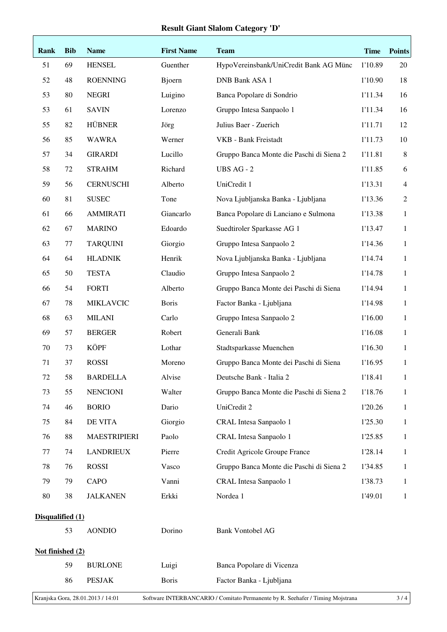| Rank                                                                                                                       | <b>Bib</b>       | <b>Name</b>         | <b>First Name</b> | <b>Team</b>                              | <b>Time</b> | <b>Points</b>  |  |
|----------------------------------------------------------------------------------------------------------------------------|------------------|---------------------|-------------------|------------------------------------------|-------------|----------------|--|
| 51                                                                                                                         | 69               | <b>HENSEL</b>       | Guenther          | HypoVereinsbank/UniCredit Bank AG Münc   | 1'10.89     | 20             |  |
| 52                                                                                                                         | 48               | <b>ROENNING</b>     | Bjoern            | <b>DNB Bank ASA 1</b>                    | 1'10.90     | 18             |  |
| 53                                                                                                                         | 80               | <b>NEGRI</b>        | Luigino           | Banca Popolare di Sondrio                | 1'11.34     | 16             |  |
| 53                                                                                                                         | 61               | <b>SAVIN</b>        | Lorenzo           | Gruppo Intesa Sanpaolo 1                 | 1'11.34     | 16             |  |
| 55                                                                                                                         | 82               | <b>HÜBNER</b>       | Jörg              | Julius Baer - Zuerich                    | 1'11.71     | 12             |  |
| 56                                                                                                                         | 85               | <b>WAWRA</b>        | Werner            | VKB - Bank Freistadt                     | 1'11.73     | 10             |  |
| 57                                                                                                                         | 34               | <b>GIRARDI</b>      | Lucillo           | Gruppo Banca Monte die Paschi di Siena 2 | 1'11.81     | $\,8\,$        |  |
| 58                                                                                                                         | 72               | <b>STRAHM</b>       | Richard           | <b>UBS AG - 2</b>                        | 1'11.85     | 6              |  |
| 59                                                                                                                         | 56               | <b>CERNUSCHI</b>    | Alberto           | UniCredit 1                              | 1'13.31     | $\overline{4}$ |  |
| 60                                                                                                                         | 81               | <b>SUSEC</b>        | Tone              | Nova Ljubljanska Banka - Ljubljana       | 1'13.36     | $\mathbf{2}$   |  |
| 61                                                                                                                         | 66               | <b>AMMIRATI</b>     | Giancarlo         | Banca Popolare di Lanciano e Sulmona     | 1'13.38     | $\mathbf{1}$   |  |
| 62                                                                                                                         | 67               | <b>MARINO</b>       | Edoardo           | Suedtiroler Sparkasse AG 1               | 1'13.47     | $\mathbf{1}$   |  |
| 63                                                                                                                         | $77 \,$          | <b>TARQUINI</b>     | Giorgio           | Gruppo Intesa Sanpaolo 2                 | 1'14.36     | $\mathbf{1}$   |  |
| 64                                                                                                                         | 64               | <b>HLADNIK</b>      | Henrik            | Nova Ljubljanska Banka - Ljubljana       | 1'14.74     | $\mathbf{1}$   |  |
| 65                                                                                                                         | 50               | <b>TESTA</b>        | Claudio           | Gruppo Intesa Sanpaolo 2                 | 1'14.78     | $\mathbf{1}$   |  |
| 66                                                                                                                         | 54               | <b>FORTI</b>        | Alberto           | Gruppo Banca Monte dei Paschi di Siena   | 1'14.94     | $\mathbf{1}$   |  |
| 67                                                                                                                         | 78               | <b>MIKLAVCIC</b>    | <b>Boris</b>      | Factor Banka - Ljubljana                 | 1'14.98     | $\mathbf{1}$   |  |
| 68                                                                                                                         | 63               | <b>MILANI</b>       | Carlo             | Gruppo Intesa Sanpaolo 2                 | 1'16.00     | $\mathbf{1}$   |  |
| 69                                                                                                                         | 57               | <b>BERGER</b>       | Robert            | Generali Bank                            | 1'16.08     | $\mathbf{1}$   |  |
| 70                                                                                                                         | 73               | <b>KÖPF</b>         | Lothar            | Stadtsparkasse Muenchen                  | 1'16.30     | $\mathbf{1}$   |  |
| 71                                                                                                                         | 37               | <b>ROSSI</b>        | Moreno            | Gruppo Banca Monte dei Paschi di Siena   | 1'16.95     | $\mathbf{1}$   |  |
| 72                                                                                                                         | 58               | <b>BARDELLA</b>     | Alvise            | Deutsche Bank - Italia 2                 | 1'18.41     | 1              |  |
| 73                                                                                                                         | 55               | <b>NENCIONI</b>     | Walter            | Gruppo Banca Monte die Paschi di Siena 2 | 1'18.76     | 1              |  |
| 74                                                                                                                         | 46               | <b>BORIO</b>        | Dario             | UniCredit 2                              | 1'20.26     | $\mathbf{1}$   |  |
| 75                                                                                                                         | 84               | DE VITA             | Giorgio           | CRAL Intesa Sanpaolo 1                   | 1'25.30     | $\mathbf{1}$   |  |
| 76                                                                                                                         | 88               | <b>MAESTRIPIERI</b> | Paolo             | CRAL Intesa Sanpaolo 1                   | 1'25.85     | $\mathbf{1}$   |  |
| 77                                                                                                                         | 74               | <b>LANDRIEUX</b>    | Pierre            | Credit Agricole Groupe France            | 1'28.14     | $\mathbf{1}$   |  |
| 78                                                                                                                         | 76               | <b>ROSSI</b>        | Vasco             | Gruppo Banca Monte die Paschi di Siena 2 | 1'34.85     | $\mathbf{1}$   |  |
| 79                                                                                                                         | 79               | CAPO                | Vanni             | CRAL Intesa Sanpaolo 1                   | 1'38.73     | $\mathbf{1}$   |  |
| 80                                                                                                                         | 38               | <b>JALKANEN</b>     | Erkki             | Nordea 1                                 | 1'49.01     | 1              |  |
|                                                                                                                            | Disqualified (1) |                     |                   |                                          |             |                |  |
|                                                                                                                            | 53               | <b>AONDIO</b>       | Dorino            | <b>Bank Vontobel AG</b>                  |             |                |  |
| Not finished (2)                                                                                                           |                  |                     |                   |                                          |             |                |  |
|                                                                                                                            | 59               | <b>BURLONE</b>      | Luigi             | Banca Popolare di Vicenza                |             |                |  |
|                                                                                                                            | 86               | <b>PESJAK</b>       | <b>Boris</b>      | Factor Banka - Ljubljana                 |             |                |  |
| Software INTERBANCARIO / Comitato Permanente by R. Seehafer / Timing Mojstrana<br>Kranjska Gora, 28.01.2013 / 14:01<br>3/4 |                  |                     |                   |                                          |             |                |  |